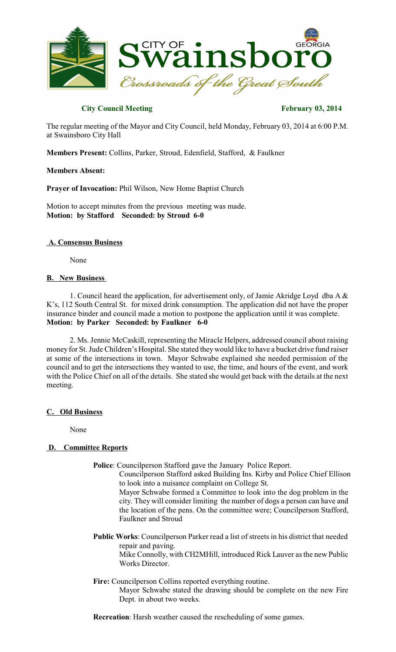

# **City Council Meeting February 03, 2014**

The regular meeting of the Mayor and City Council, held Monday, February 03, 2014 at 6:00 P.M. at Swainsboro City Hall

**Members Present:** Collins, Parker, Stroud, Edenfield, Stafford, & Faulkner

### **Members Absent:**

**Prayer of Invocation:** Phil Wilson, New Home Baptist Church

Motion to accept minutes from the previous meeting was made. **Motion: by Stafford Seconded: by Stroud 6-0**

### **A. Consensus Business**

None

### **B. New Business**

1. Council heard the application, for advertisement only, of Jamie Akridge Loyd dba A & K's, 112 South Central St. for mixed drink consumption. The application did not have the proper insurance binder and council made a motion to postpone the application until it was complete. **Motion: by Parker Seconded: by Faulkner 6-0**

2. Ms. Jennie McCaskill, representing the Miracle Helpers, addressed council about raising money for St. Jude Children's Hospital. She stated they would like to have a bucket drive fund raiser at some of the intersections in town. Mayor Schwabe explained she needed permission of the council and to get the intersections they wanted to use, the time, and hours of the event, and work with the Police Chief on all of the details. She stated she would get back with the details at the next meeting.

# **C. Old Business**

None

# **D. Committee Reports**

**Police**: Councilperson Stafford gave the January Police Report.

Counc ilperson Stafford asked Building Ins. Kirby and Police Chief Ellison to look into a nuisance complaint on College St.

Mayor Schwabe formed a Committee to look into the dog problem in the city. They will consider limiting the number of dogs a person can have and the location of the pens. On the committee were; Councilperson Stafford, Faulkner and Stroud

**Public Works**: Councilperson Parker read a list of streets in his district that needed repair and paving.

Mike Connolly, with CH2MHill, introduced Rick Lauver asthe new Public Works Director.

#### **Fire:** Councilperson Collins reported everything routine.

Mayor Schwabe stated the drawing should be complete on the new Fire Dept. in about two weeks.

**Recreation**: Harsh weather caused the rescheduling of some games.